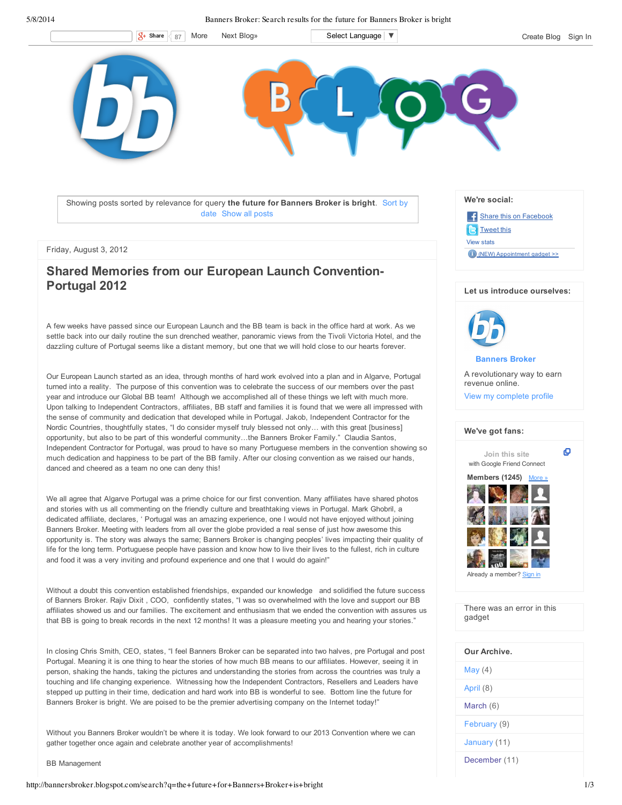5/8/2014 Banners Broker: Search results for the future for Banners Broker is bright



Showing posts sorted by relevance for query **the future for Banners Broker is bright**. Sort by date Show all posts

### Friday, August 3, 2012

# **Shared Memories from our European Launch Convention-Portugal 2012**

A few weeks have passed since our European Launch and the BB team is back in the office hard at work. As we settle back into our daily routine the sun drenched weather, panoramic views from the Tivoli Victoria Hotel, and the dazzling culture of Portugal seems like a distant memory, but one that we will hold close to our hearts forever.

Our European Launch started as an idea, through months of hard work evolved into a plan and in Algarve, Portugal turned into a reality. The purpose of this convention was to celebrate the success of our members over the past year and introduce our Global BB team! Although we accomplished all of these things we left with much more. Upon talking to Independent Contractors, affiliates, BB staff and families it is found that we were all impressed with the sense of community and dedication that developed while in Portugal. Jakob, Independent Contractor for the Nordic Countries, thoughtfully states, "I do consider myself truly blessed not only… with this great [business] opportunity, but also to be part of this wonderful community…the Banners Broker Family." Claudia Santos, Independent Contractor for Portugal, was proud to have so many Portuguese members in the convention showing so much dedication and happiness to be part of the BB family. After our closing convention as we raised our hands, danced and cheered as a team no one can deny this!

We all agree that Algarve Portugal was a prime choice for our first convention. Many affiliates have shared photos and stories with us all commenting on the friendly culture and breathtaking views in Portugal. Mark Ghobril, a dedicated affiliate, declares, ' Portugal was an amazing experience, one I would not have enjoyed without joining Banners Broker. Meeting with leaders from all over the globe provided a real sense of just how awesome this opportunity is. The story was always the same; Banners Broker is changing peoples' lives impacting their quality of life for the long term. Portuguese people have passion and know how to live their lives to the fullest, rich in culture and food it was a very inviting and profound experience and one that I would do again!"

Without a doubt this convention established friendships, expanded our knowledge and solidified the future success of Banners Broker. Rajiv Dixit , COO, confidently states, "I was so overwhelmed with the love and support our BB affiliates showed us and our families. The excitement and enthusiasm that we ended the convention with assures us that BB is going to break records in the next 12 months! It was a pleasure meeting you and hearing your stories."

In closing Chris Smith, CEO, states, "I feel Banners Broker can be separated into two halves, pre Portugal and post Portugal. Meaning it is one thing to hear the stories of how much BB means to our affiliates. However, seeing it in person, shaking the hands, taking the pictures and understanding the stories from across the countries was truly a touching and life changing experience. Witnessing how the Independent Contractors, Resellers and Leaders have stepped up putting in their time, dedication and hard work into BB is wonderful to see. Bottom line the future for Banners Broker is bright. We are poised to be the premier advertising company on the Internet today!"

Without you Banners Broker wouldn't be where it is today. We look forward to our 2013 Convention where we can gather together once again and celebrate another year of accomplishments!

BB Management

http://bannersbroker.blogspot.com/search?q=the+future+for+Banners+Broker+is+bright 1/3





**Banners Broker**

A revolutionary way to earn revenue online.

View my complete profile



There was an error in this gadget

| Our Archive. |  |
|--------------|--|
| May $(4)$    |  |
| April (8)    |  |
| March (6)    |  |
| February (9) |  |
| January (11) |  |
|              |  |

December (11)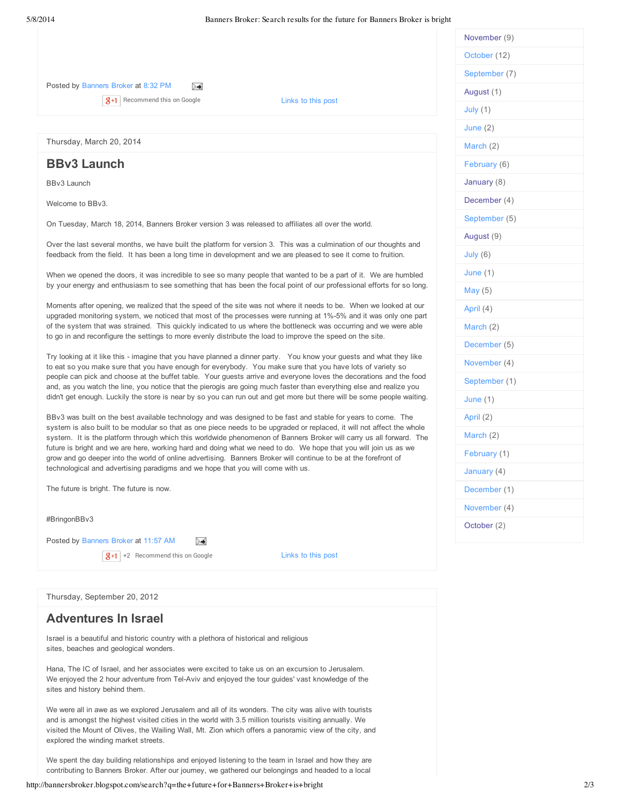## Posted by Banners Broker at 8:32 PM

 $\overline{g+1}$  Recommend this on Google Links to this post

Thursday, March 20, 2014

## **BBv3 Launch**

BBv3 Launch

Welcome to BBv3.

On Tuesday, March 18, 2014, Banners Broker version 3 was released to affiliates all over the world.

≻≼

Over the last several months, we have built the platform for version 3. This was a culmination of our thoughts and feedback from the field. It has been a long time in development and we are pleased to see it come to fruition.

When we opened the doors, it was incredible to see so many people that wanted to be a part of it. We are humbled by your energy and enthusiasm to see something that has been the focal point of our professional efforts for so long.

Moments after opening, we realized that the speed of the site was not where it needs to be. When we looked at our upgraded monitoring system, we noticed that most of the processes were running at 1%-5% and it was only one part of the system that was strained. This quickly indicated to us where the bottleneck was occurring and we were able to go in and reconfigure the settings to more evenly distribute the load to improve the speed on the site.

Try looking at it like this - imagine that you have planned a dinner party. You know your guests and what they like to eat so you make sure that you have enough for everybody. You make sure that you have lots of variety so people can pick and choose at the buffet table. Your guests arrive and everyone loves the decorations and the food and, as you watch the line, you notice that the pierogis are going much faster than everything else and realize you didn't get enough. Luckily the store is near by so you can run out and get more but there will be some people waiting.

BBv3 was built on the best available technology and was designed to be fast and stable for years to come. The system is also built to be modular so that as one piece needs to be upgraded or replaced, it will not affect the whole system. It is the platform through which this worldwide phenomenon of Banners Broker will carry us all forward. The future is bright and we are here, working hard and doing what we need to do. We hope that you will join us as we grow and go deeper into the world of online advertising. Banners Broker will continue to be at the forefront of technological and advertising paradigms and we hope that you will come with us.

The future is bright. The future is now.

#BringonBBv3

Posted by Banners Broker at 11:57 AM  $\sum$ 

 $|8+1|$  +2 Recommend this on Google

Links to this post

Thursday, September 20, 2012

## **Adventures In Israel**

Israel is a beautiful and historic country with a plethora of historical and religious sites, beaches and geological wonders.

Hana, The IC of Israel, and her associates were excited to take us on an excursion to Jerusalem. We enjoyed the 2 hour adventure from Tel-Aviv and enjoyed the tour guides' vast knowledge of the sites and history behind them.

We were all in awe as we explored Jerusalem and all of its wonders. The city was alive with tourists and is amongst the highest visited cities in the world with 3.5 million tourists visiting annually. We visited the Mount of Olives, the Wailing Wall, Mt. Zion which offers a panoramic view of the city, and explored the winding market streets.

We spent the day building relationships and enjoyed listening to the team in Israel and how they are contributing to Banners Broker. After our journey, we gathered our belongings and headed to a local

| November (9)  |
|---------------|
| October (12)  |
| September (7) |
| August (1)    |
| July $(1)$    |
| June $(2)$    |
| March (2)     |
| February (6)  |
| January (8)   |
| December (4)  |
| September (5) |
| August (9)    |
| July (6)      |
| June $(1)$    |
| May $(5)$     |
| April (4)     |
| March (2)     |
| December (5)  |
| November (4)  |
| September (1) |
| June (1)      |
| April (2)     |
| March (2)     |
| February (1)  |
| January (4)   |
| December (1)  |
| November (4)  |
| October (2)   |
|               |